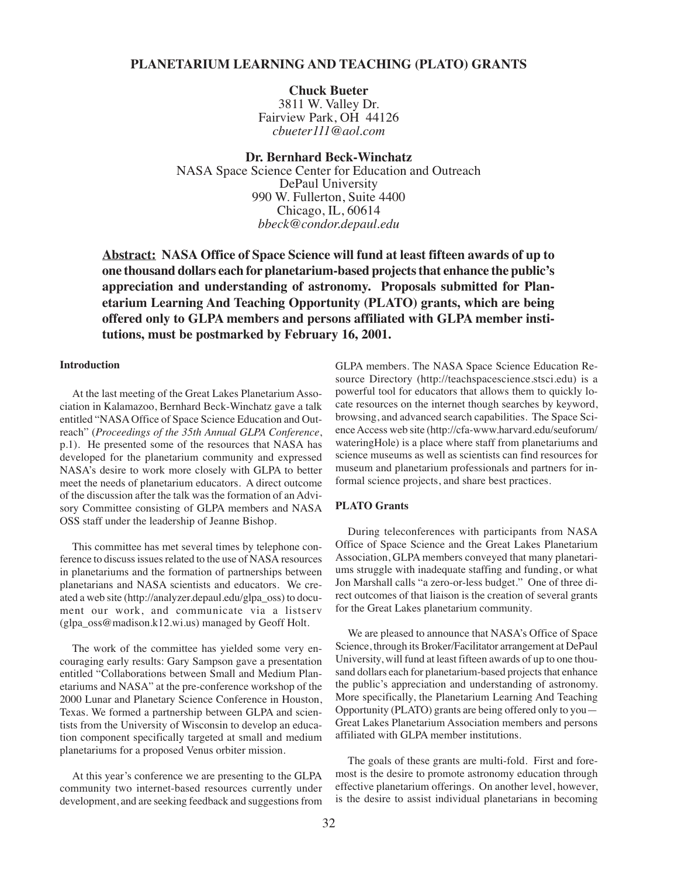## **PLANETARIUM LEARNING AND TEACHING (PLATO) GRANTS**

**Chuck Bueter** 3811 W. Valley Dr. Fairview Park, OH 44126 *cbueter111@aol.com*

**Dr. Bernhard Beck-Winchatz** NASA Space Science Center for Education and Outreach DePaul University 990 W. Fullerton, Suite 4400 Chicago, IL, 60614 *bbeck@condor.depaul.edu*

**Abstract: NASA Office of Space Science will fund at least fifteen awards of up to one thousand dollars each for planetarium-based projects that enhance the public's appreciation and understanding of astronomy. Proposals submitted for Planetarium Learning And Teaching Opportunity (PLATO) grants, which are being offered only to GLPA members and persons affiliated with GLPA member institutions, must be postmarked by February 16, 2001.**

## **Introduction**

At the last meeting of the Great Lakes Planetarium Association in Kalamazoo, Bernhard Beck-Winchatz gave a talk entitled "NASA Office of Space Science Education and Outreach" (*Proceedings of the 35th Annual GLPA Conference*, p.1). He presented some of the resources that NASA has developed for the planetarium community and expressed NASA's desire to work more closely with GLPA to better meet the needs of planetarium educators. A direct outcome of the discussion after the talk was the formation of an Advisory Committee consisting of GLPA members and NASA OSS staff under the leadership of Jeanne Bishop.

This committee has met several times by telephone conference to discuss issues related to the use of NASA resources in planetariums and the formation of partnerships between planetarians and NASA scientists and educators. We created a web site (http://analyzer.depaul.edu/glpa\_oss) to document our work, and communicate via a listserv (glpa\_oss@madison.k12.wi.us) managed by Geoff Holt.

The work of the committee has yielded some very encouraging early results: Gary Sampson gave a presentation entitled "Collaborations between Small and Medium Planetariums and NASA" at the pre-conference workshop of the 2000 Lunar and Planetary Science Conference in Houston, Texas. We formed a partnership between GLPA and scientists from the University of Wisconsin to develop an education component specifically targeted at small and medium planetariums for a proposed Venus orbiter mission.

At this year's conference we are presenting to the GLPA community two internet-based resources currently under development, and are seeking feedback and suggestions from

GLPA members. The NASA Space Science Education Resource Directory (http://teachspacescience.stsci.edu) is a powerful tool for educators that allows them to quickly locate resources on the internet though searches by keyword, browsing, and advanced search capabilities. The Space Science Access web site (http://cfa-www.harvard.edu/seuforum/ wateringHole) is a place where staff from planetariums and science museums as well as scientists can find resources for museum and planetarium professionals and partners for informal science projects, and share best practices.

## **PLATO Grants**

During teleconferences with participants from NASA Office of Space Science and the Great Lakes Planetarium Association, GLPA members conveyed that many planetariums struggle with inadequate staffing and funding, or what Jon Marshall calls "a zero-or-less budget." One of three direct outcomes of that liaison is the creation of several grants for the Great Lakes planetarium community.

We are pleased to announce that NASA's Office of Space Science, through its Broker/Facilitator arrangement at DePaul University, will fund at least fifteen awards of up to one thousand dollars each for planetarium-based projects that enhance the public's appreciation and understanding of astronomy. More specifically, the Planetarium Learning And Teaching Opportunity (PLATO) grants are being offered only to you— Great Lakes Planetarium Association members and persons affiliated with GLPA member institutions.

The goals of these grants are multi-fold. First and foremost is the desire to promote astronomy education through effective planetarium offerings. On another level, however, is the desire to assist individual planetarians in becoming